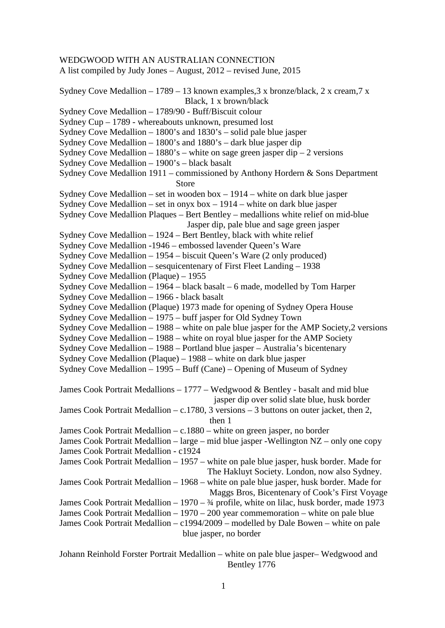WEDGWOOD WITH AN AUSTRALIAN CONNECTION A list compiled by Judy Jones – August, 2012 – revised June, 2015 Sydney Cove Medallion – 1789 – 13 known examples,  $3 \times$  bronze/black,  $2 \times$  cream,  $7 \times$  Black, 1 x brown/black Sydney Cove Medallion – 1789/90 - Buff/Biscuit colour Sydney Cup – 1789 - whereabouts unknown, presumed lost Sydney Cove Medallion – 1800's and 1830's – solid pale blue jasper Sydney Cove Medallion – 1800's and 1880's – dark blue jasper dip Sydney Cove Medallion – 1880's – white on sage green jasper dip – 2 versions Sydney Cove Medallion – 1900's – black basalt Sydney Cove Medallion 1911 – commissioned by Anthony Hordern & Sons Department Store Sydney Cove Medallion – set in wooden box – 1914 – white on dark blue jasper Sydney Cove Medallion – set in onyx box – 1914 – white on dark blue jasper Sydney Cove Medallion Plaques – Bert Bentley – medallions white relief on mid-blue Jasper dip, pale blue and sage green jasper Sydney Cove Medallion – 1924 – Bert Bentley, black with white relief Sydney Cove Medallion -1946 – embossed lavender Queen's Ware Sydney Cove Medallion – 1954 – biscuit Queen's Ware (2 only produced) Sydney Cove Medallion – sesquicentenary of First Fleet Landing – 1938 Sydney Cove Medallion (Plaque) – 1955 Sydney Cove Medallion – 1964 – black basalt – 6 made, modelled by Tom Harper Sydney Cove Medallion – 1966 - black basalt Sydney Cove Medallion (Plaque) 1973 made for opening of Sydney Opera House Sydney Cove Medallion – 1975 – buff jasper for Old Sydney Town Sydney Cove Medallion – 1988 – white on pale blue jasper for the AMP Society,2 versions Sydney Cove Medallion – 1988 – white on royal blue jasper for the AMP Society Sydney Cove Medallion – 1988 – Portland blue jasper – Australia's bicentenary Sydney Cove Medallion (Plaque) – 1988 – white on dark blue jasper Sydney Cove Medallion – 1995 – Buff (Cane) – Opening of Museum of Sydney James Cook Portrait Medallions – 1777 – Wedgwood & Bentley - basalt and mid blue jasper dip over solid slate blue, husk border James Cook Portrait Medallion – c.1780, 3 versions – 3 buttons on outer jacket, then 2, then 1 James Cook Portrait Medallion – c.1880 – white on green jasper, no border James Cook Portrait Medallion – large – mid blue jasper -Wellington NZ – only one copy James Cook Portrait Medallion - c1924 James Cook Portrait Medallion – 1957 – white on pale blue jasper, husk border. Made for The Hakluyt Society. London, now also Sydney. James Cook Portrait Medallion – 1968 – white on pale blue jasper, husk border. Made for Maggs Bros, Bicentenary of Cook's First Voyage James Cook Portrait Medallion – 1970 – ¾ profile, white on lilac, husk border, made 1973 James Cook Portrait Medallion – 1970 – 200 year commemoration – white on pale blue James Cook Portrait Medallion – c1994/2009 – modelled by Dale Bowen – white on pale blue jasper, no border

Johann Reinhold Forster Portrait Medallion – white on pale blue jasper– Wedgwood and Bentley 1776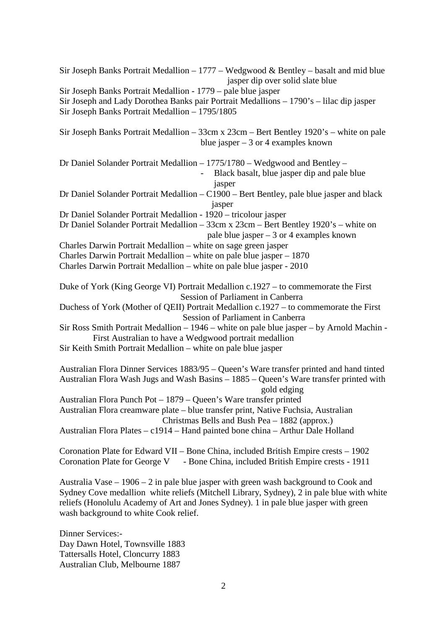Sir Joseph Banks Portrait Medallion  $-1777 -$  Wedgwood & Bentley – basalt and mid blue jasper dip over solid slate blue Sir Joseph Banks Portrait Medallion - 1779 – pale blue jasper Sir Joseph and Lady Dorothea Banks pair Portrait Medallions – 1790's – lilac dip jasper Sir Joseph Banks Portrait Medallion – 1795/1805 Sir Joseph Banks Portrait Medallion – 33cm x 23cm – Bert Bentley 1920's – white on pale blue jasper  $-3$  or 4 examples known Dr Daniel Solander Portrait Medallion – 1775/1780 – Wedgwood and Bentley – Black basalt, blue jasper dip and pale blue jasper Dr Daniel Solander Portrait Medallion – C1900 – Bert Bentley, pale blue jasper and black jasper Dr Daniel Solander Portrait Medallion - 1920 – tricolour jasper Dr Daniel Solander Portrait Medallion – 33cm x 23cm – Bert Bentley 1920's – white on pale blue jasper – 3 or 4 examples known Charles Darwin Portrait Medallion – white on sage green jasper Charles Darwin Portrait Medallion – white on pale blue jasper – 1870 Charles Darwin Portrait Medallion – white on pale blue jasper - 2010 Duke of York (King George VI) Portrait Medallion c.1927 – to commemorate the First Session of Parliament in Canberra Duchess of York (Mother of QEII) Portrait Medallion c.1927 – to commemorate the First Session of Parliament in Canberra Sir Ross Smith Portrait Medallion – 1946 – white on pale blue jasper – by Arnold Machin - First Australian to have a Wedgwood portrait medallion Sir Keith Smith Portrait Medallion – white on pale blue jasper Australian Flora Dinner Services 1883/95 – Queen's Ware transfer printed and hand tinted Australian Flora Wash Jugs and Wash Basins – 1885 – Queen's Ware transfer printed with gold edging Australian Flora Punch Pot – 1879 – Queen's Ware transfer printed Australian Flora creamware plate – blue transfer print, Native Fuchsia, Australian Christmas Bells and Bush Pea – 1882 (approx.) Australian Flora Plates – c1914 – Hand painted bone china – Arthur Dale Holland Coronation Plate for Edward VII – Bone China, included British Empire crests – 1902 Coronation Plate for George V - Bone China, included British Empire crests - 1911 Australia Vase – 1906 – 2 in pale blue jasper with green wash background to Cook and Sydney Cove medallion white reliefs (Mitchell Library, Sydney), 2 in pale blue with white reliefs (Honolulu Academy of Art and Jones Sydney). 1 in pale blue jasper with green wash background to white Cook relief. Dinner Services:- Day Dawn Hotel, Townsville 1883 Tattersalls Hotel, Cloncurry 1883 Australian Club, Melbourne 1887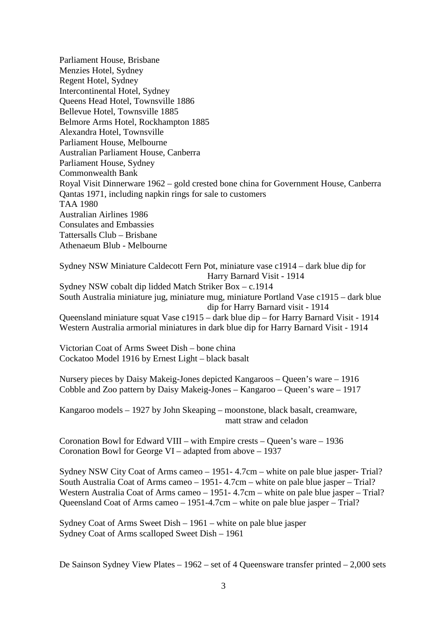Parliament House, Brisbane Menzies Hotel, Sydney Regent Hotel, Sydney Intercontinental Hotel, Sydney Queens Head Hotel, Townsville 1886 Bellevue Hotel, Townsville 1885 Belmore Arms Hotel, Rockhampton 1885 Alexandra Hotel, Townsville Parliament House, Melbourne Australian Parliament House, Canberra Parliament House, Sydney Commonwealth Bank Royal Visit Dinnerware 1962 – gold crested bone china for Government House, Canberra Qantas 1971, including napkin rings for sale to customers TAA 1980 Australian Airlines 1986 Consulates and Embassies Tattersalls Club – Brisbane Athenaeum Blub - Melbourne

Sydney NSW Miniature Caldecott Fern Pot, miniature vase c1914 – dark blue dip for Harry Barnard Visit - 1914 Sydney NSW cobalt dip lidded Match Striker Box – c.1914 South Australia miniature jug, miniature mug, miniature Portland Vase c1915 – dark blue dip for Harry Barnard visit - 1914 Queensland miniature squat Vase c1915 – dark blue dip – for Harry Barnard Visit - 1914 Western Australia armorial miniatures in dark blue dip for Harry Barnard Visit - 1914

Victorian Coat of Arms Sweet Dish – bone china Cockatoo Model 1916 by Ernest Light – black basalt

Nursery pieces by Daisy Makeig-Jones depicted Kangaroos – Queen's ware – 1916 Cobble and Zoo pattern by Daisy Makeig-Jones – Kangaroo – Queen's ware – 1917

Kangaroo models – 1927 by John Skeaping – moonstone, black basalt, creamware, matt straw and celadon

Coronation Bowl for Edward VIII – with Empire crests – Queen's ware – 1936 Coronation Bowl for George VI – adapted from above – 1937

Sydney NSW City Coat of Arms cameo – 1951- 4.7cm – white on pale blue jasper- Trial? South Australia Coat of Arms cameo – 1951- 4.7cm – white on pale blue jasper – Trial? Western Australia Coat of Arms cameo – 1951- 4.7cm – white on pale blue jasper – Trial? Queensland Coat of Arms cameo – 1951-4.7cm – white on pale blue jasper – Trial?

Sydney Coat of Arms Sweet Dish – 1961 – white on pale blue jasper Sydney Coat of Arms scalloped Sweet Dish – 1961

De Sainson Sydney View Plates – 1962 – set of 4 Queensware transfer printed – 2,000 sets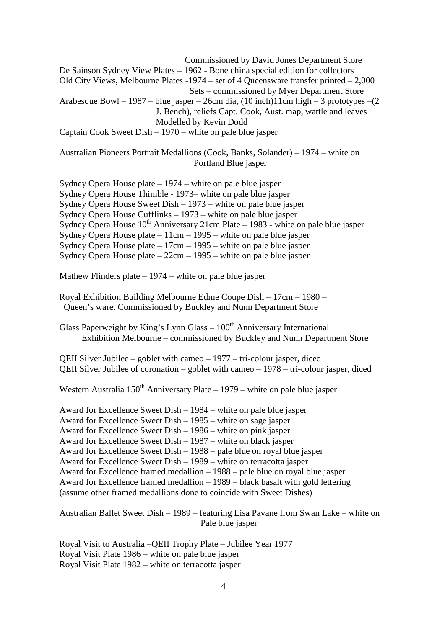Commissioned by David Jones Department Store De Sainson Sydney View Plates – 1962 - Bone china special edition for collectors Old City Views, Melbourne Plates -1974 – set of 4 Queensware transfer printed – 2,000 Sets – commissioned by Myer Department Store Arabesque Bowl – 1987 – blue jasper – 26cm dia,  $(10 \text{ inch})11$ cm high – 3 prototypes – $(2 \text{ inches})$  J. Bench), reliefs Capt. Cook, Aust. map, wattle and leaves Modelled by Kevin Dodd Captain Cook Sweet Dish – 1970 – white on pale blue jasper

Australian Pioneers Portrait Medallions (Cook, Banks, Solander) – 1974 – white on Portland Blue jasper

Sydney Opera House plate – 1974 – white on pale blue jasper Sydney Opera House Thimble - 1973– white on pale blue jasper Sydney Opera House Sweet Dish – 1973 – white on pale blue jasper Sydney Opera House Cufflinks – 1973 – white on pale blue jasper Sydney Opera House  $10^{th}$  Anniversary 21cm Plate – 1983 - white on pale blue jasper Sydney Opera House plate –  $11 \text{cm} - 1995$  – white on pale blue jasper Sydney Opera House plate – 17cm – 1995 – white on pale blue jasper Sydney Opera House plate – 22cm – 1995 – white on pale blue jasper

Mathew Flinders plate – 1974 – white on pale blue jasper

Royal Exhibition Building Melbourne Edme Coupe Dish – 17cm – 1980 – Queen's ware. Commissioned by Buckley and Nunn Department Store

Glass Paperweight by King's Lynn Glass  $-100<sup>th</sup>$  Anniversary International Exhibition Melbourne – commissioned by Buckley and Nunn Department Store

QEII Silver Jubilee – goblet with cameo – 1977 – tri-colour jasper, diced QEII Silver Jubilee of coronation – goblet with cameo – 1978 – tri-colour jasper, diced

Western Australia  $150<sup>th</sup>$  Anniversary Plate – 1979 – white on pale blue jasper

Award for Excellence Sweet Dish – 1984 – white on pale blue jasper Award for Excellence Sweet Dish – 1985 – white on sage jasper Award for Excellence Sweet Dish – 1986 – white on pink jasper Award for Excellence Sweet Dish – 1987 – white on black jasper Award for Excellence Sweet Dish – 1988 – pale blue on royal blue jasper Award for Excellence Sweet Dish – 1989 – white on terracotta jasper Award for Excellence framed medallion – 1988 – pale blue on royal blue jasper Award for Excellence framed medallion – 1989 – black basalt with gold lettering (assume other framed medallions done to coincide with Sweet Dishes)

Australian Ballet Sweet Dish – 1989 – featuring Lisa Pavane from Swan Lake – white on Pale blue jasper

Royal Visit to Australia –QEII Trophy Plate – Jubilee Year 1977 Royal Visit Plate 1986 – white on pale blue jasper Royal Visit Plate 1982 – white on terracotta jasper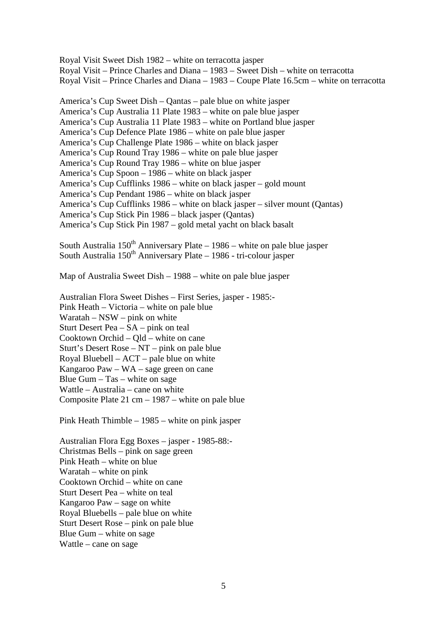Royal Visit Sweet Dish 1982 – white on terracotta jasper Royal Visit – Prince Charles and Diana – 1983 – Sweet Dish – white on terracotta Royal Visit – Prince Charles and Diana – 1983 – Coupe Plate 16.5cm – white on terracotta

America's Cup Sweet Dish – Qantas – pale blue on white jasper America's Cup Australia 11 Plate 1983 – white on pale blue jasper America's Cup Australia 11 Plate 1983 – white on Portland blue jasper America's Cup Defence Plate 1986 – white on pale blue jasper America's Cup Challenge Plate 1986 – white on black jasper America's Cup Round Tray 1986 – white on pale blue jasper America's Cup Round Tray 1986 – white on blue jasper America's Cup Spoon – 1986 – white on black jasper America's Cup Cufflinks 1986 – white on black jasper – gold mount America's Cup Pendant 1986 – white on black jasper America's Cup Cufflinks 1986 – white on black jasper – silver mount (Qantas) America's Cup Stick Pin 1986 – black jasper (Qantas) America's Cup Stick Pin 1987 – gold metal yacht on black basalt

South Australia  $150<sup>th</sup>$  Anniversary Plate – 1986 – white on pale blue jasper South Australia  $150^{th}$  Anniversary Plate – 1986 - tri-colour jasper

Map of Australia Sweet Dish – 1988 – white on pale blue jasper

Australian Flora Sweet Dishes – First Series, jasper - 1985:- Pink Heath – Victoria – white on pale blue Waratah – NSW – pink on white Sturt Desert Pea – SA – pink on teal Cooktown Orchid – Qld – white on cane Sturt's Desert Rose – NT – pink on pale blue Royal Bluebell – ACT – pale blue on white Kangaroo Paw – WA – sage green on cane Blue Gum – Tas – white on sage Wattle – Australia – cane on white Composite Plate 21 cm – 1987 – white on pale blue

Pink Heath Thimble – 1985 – white on pink jasper

Australian Flora Egg Boxes – jasper - 1985-88:- Christmas Bells – pink on sage green Pink Heath – white on blue Waratah – white on pink Cooktown Orchid – white on cane Sturt Desert Pea – white on teal Kangaroo Paw – sage on white Royal Bluebells – pale blue on white Sturt Desert Rose – pink on pale blue Blue Gum – white on sage Wattle – cane on sage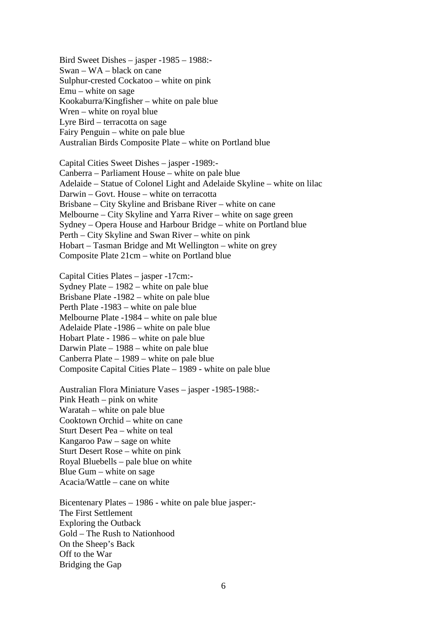Bird Sweet Dishes – jasper -1985 – 1988:- Swan – WA – black on cane Sulphur-crested Cockatoo – white on pink Emu – white on sage Kookaburra/Kingfisher – white on pale blue Wren – white on royal blue Lyre Bird – terracotta on sage Fairy Penguin – white on pale blue Australian Birds Composite Plate – white on Portland blue

Capital Cities Sweet Dishes – jasper -1989:- Canberra – Parliament House – white on pale blue Adelaide – Statue of Colonel Light and Adelaide Skyline – white on lilac Darwin – Govt. House – white on terracotta Brisbane – City Skyline and Brisbane River – white on cane Melbourne – City Skyline and Yarra River – white on sage green Sydney – Opera House and Harbour Bridge – white on Portland blue Perth – City Skyline and Swan River – white on pink Hobart – Tasman Bridge and Mt Wellington – white on grey Composite Plate 21cm – white on Portland blue

Capital Cities Plates – jasper -17cm:- Sydney Plate – 1982 – white on pale blue Brisbane Plate -1982 – white on pale blue Perth Plate -1983 – white on pale blue Melbourne Plate -1984 – white on pale blue Adelaide Plate -1986 – white on pale blue Hobart Plate - 1986 – white on pale blue Darwin Plate – 1988 – white on pale blue Canberra Plate – 1989 – white on pale blue Composite Capital Cities Plate – 1989 - white on pale blue

Australian Flora Miniature Vases – jasper -1985-1988:- Pink Heath – pink on white Waratah – white on pale blue Cooktown Orchid – white on cane Sturt Desert Pea – white on teal Kangaroo Paw – sage on white Sturt Desert Rose – white on pink Royal Bluebells – pale blue on white Blue Gum – white on sage Acacia/Wattle – cane on white

Bicentenary Plates – 1986 - white on pale blue jasper:- The First Settlement Exploring the Outback Gold – The Rush to Nationhood On the Sheep's Back Off to the War Bridging the Gap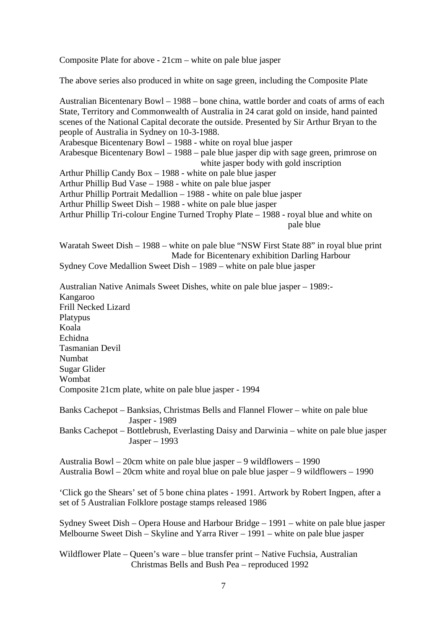Composite Plate for above - 21cm – white on pale blue jasper

The above series also produced in white on sage green, including the Composite Plate

Australian Bicentenary Bowl – 1988 – bone china, wattle border and coats of arms of each State, Territory and Commonwealth of Australia in 24 carat gold on inside, hand painted scenes of the National Capital decorate the outside. Presented by Sir Arthur Bryan to the people of Australia in Sydney on 10-3-1988. Arabesque Bicentenary Bowl – 1988 - white on royal blue jasper Arabesque Bicentenary Bowl – 1988 – pale blue jasper dip with sage green, primrose on white jasper body with gold inscription Arthur Phillip Candy Box – 1988 - white on pale blue jasper Arthur Phillip Bud Vase – 1988 - white on pale blue jasper Arthur Phillip Portrait Medallion – 1988 - white on pale blue jasper Arthur Phillip Sweet Dish – 1988 - white on pale blue jasper Arthur Phillip Tri-colour Engine Turned Trophy Plate – 1988 - royal blue and white on pale blue Waratah Sweet Dish – 1988 – white on pale blue "NSW First State 88" in royal blue print Made for Bicentenary exhibition Darling Harbour Sydney Cove Medallion Sweet Dish – 1989 – white on pale blue jasper Australian Native Animals Sweet Dishes, white on pale blue jasper – 1989:- Kangaroo Frill Necked Lizard Platypus Koala Echidna Tasmanian Devil Numbat Sugar Glider Wombat Composite 21cm plate, white on pale blue jasper - 1994

Banks Cachepot – Banksias, Christmas Bells and Flannel Flower – white on pale blue Jasper - 1989 Banks Cachepot – Bottlebrush, Everlasting Daisy and Darwinia – white on pale blue jasper Jasper – 1993

Australia Bowl – 20cm white on pale blue jasper – 9 wildflowers – 1990 Australia Bowl – 20cm white and royal blue on pale blue jasper – 9 wildflowers – 1990

'Click go the Shears' set of 5 bone china plates - 1991. Artwork by Robert Ingpen, after a set of 5 Australian Folklore postage stamps released 1986

Sydney Sweet Dish – Opera House and Harbour Bridge – 1991 – white on pale blue jasper Melbourne Sweet Dish – Skyline and Yarra River – 1991 – white on pale blue jasper

Wildflower Plate – Queen's ware – blue transfer print – Native Fuchsia, Australian Christmas Bells and Bush Pea – reproduced 1992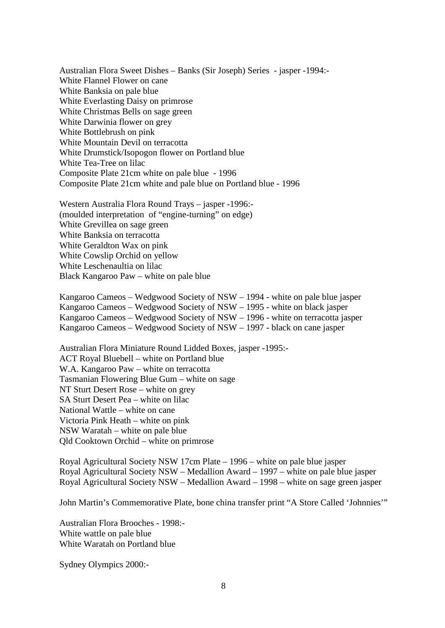Australian Flora Sweet Dishes – Banks (Sir Joseph) Series - jasper -1994:- White Flannel Flower on cane White Banksia on pale blue White Everlasting Daisy on primrose White Christmas Bells on sage green White Darwinia flower on grey White Bottlebrush on pink White Mountain Devil on terracotta White Drumstick/Isopogon flower on Portland blue White Tea-Tree on lilac Composite Plate 21cm white on pale blue - 1996 Composite Plate 21cm white and pale blue on Portland blue - 1996

Western Australia Flora Round Trays – jasper -1996:- (moulded interpretation of "engine-turning" on edge) White Grevillea on sage green White Banksia on terracotta White Geraldton Wax on pink White Cowslip Orchid on yellow White Leschenaultia on lilac Black Kangaroo Paw – white on pale blue

Kangaroo Cameos – Wedgwood Society of NSW – 1994 - white on pale blue jasper Kangaroo Cameos – Wedgwood Society of NSW – 1995 - white on black jasper Kangaroo Cameos – Wedgwood Society of NSW – 1996 - white on terracotta jasper Kangaroo Cameos – Wedgwood Society of NSW – 1997 - black on cane jasper

Australian Flora Miniature Round Lidded Boxes, jasper -1995:- ACT Royal Bluebell – white on Portland blue W.A. Kangaroo Paw – white on terracotta Tasmanian Flowering Blue Gum – white on sage NT Sturt Desert Rose – white on grey SA Sturt Desert Pea – white on lilac National Wattle – white on cane Victoria Pink Heath – white on pink NSW Waratah – white on pale blue Qld Cooktown Orchid – white on primrose

Royal Agricultural Society NSW 17cm Plate – 1996 – white on pale blue jasper Royal Agricultural Society NSW – Medallion Award – 1997 – white on pale blue jasper Royal Agricultural Society NSW – Medallion Award – 1998 – white on sage green jasper

John Martin's Commemorative Plate, bone china transfer print "A Store Called 'Johnnies'"

Australian Flora Brooches - 1998:- White wattle on pale blue White Waratah on Portland blue

Sydney Olympics 2000:-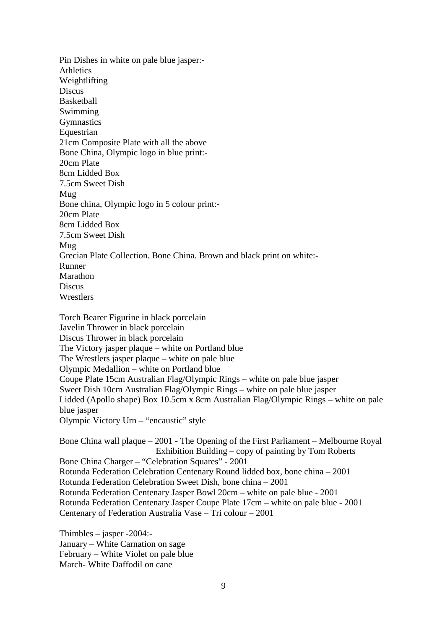Pin Dishes in white on pale blue jasper:- Athletics Weightlifting Discus Basketball Swimming **Gymnastics** Equestrian 21cm Composite Plate with all the above Bone China, Olympic logo in blue print:- 20cm Plate 8cm Lidded Box 7.5cm Sweet Dish Mug Bone china, Olympic logo in 5 colour print:- 20cm Plate 8cm Lidded Box 7.5cm Sweet Dish Mug Grecian Plate Collection. Bone China. Brown and black print on white:- Runner Marathon **Discus Wrestlers** Torch Bearer Figurine in black porcelain Javelin Thrower in black porcelain Discus Thrower in black porcelain The Victory jasper plaque – white on Portland blue The Wrestlers jasper plaque – white on pale blue Olympic Medallion – white on Portland blue Coupe Plate 15cm Australian Flag/Olympic Rings – white on pale blue jasper Sweet Dish 10cm Australian Flag/Olympic Rings – white on pale blue jasper Lidded (Apollo shape) Box 10.5cm x 8cm Australian Flag/Olympic Rings – white on pale blue jasper

Olympic Victory Urn – "encaustic" style

Bone China wall plaque – 2001 - The Opening of the First Parliament – Melbourne Royal Exhibition Building – copy of painting by Tom Roberts Bone China Charger – "Celebration Squares" - 2001 Rotunda Federation Celebration Centenary Round lidded box, bone china – 2001 Rotunda Federation Celebration Sweet Dish, bone china – 2001 Rotunda Federation Centenary Jasper Bowl 20cm – white on pale blue - 2001 Rotunda Federation Centenary Jasper Coupe Plate 17cm – white on pale blue - 2001 Centenary of Federation Australia Vase – Tri colour – 2001

Thimbles – jasper -2004:- January – White Carnation on sage February – White Violet on pale blue March- White Daffodil on cane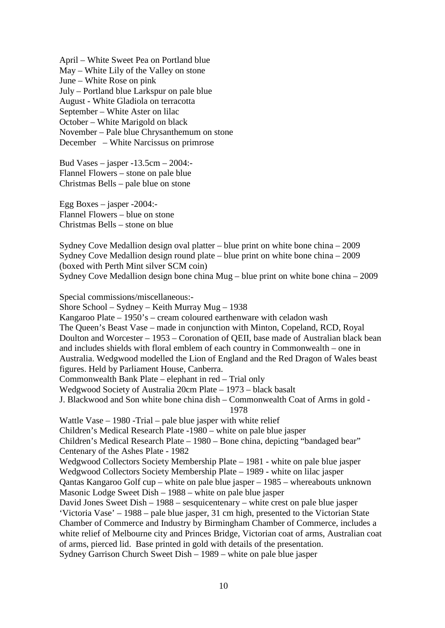April – White Sweet Pea on Portland blue May – White Lily of the Valley on stone June – White Rose on pink July – Portland blue Larkspur on pale blue August - White Gladiola on terracotta September – White Aster on lilac October – White Marigold on black November – Pale blue Chrysanthemum on stone December – White Narcissus on primrose

Bud Vases – jasper -13.5cm – 2004:- Flannel Flowers – stone on pale blue Christmas Bells – pale blue on stone

Egg Boxes – jasper -2004:- Flannel Flowers – blue on stone Christmas Bells – stone on blue

Sydney Cove Medallion design oval platter – blue print on white bone china – 2009 Sydney Cove Medallion design round plate – blue print on white bone china – 2009 (boxed with Perth Mint silver SCM coin) Sydney Cove Medallion design bone china Mug – blue print on white bone china – 2009

Special commissions/miscellaneous:- Shore School – Sydney – Keith Murray Mug – 1938 Kangaroo Plate – 1950's – cream coloured earthenware with celadon wash The Queen's Beast Vase – made in conjunction with Minton, Copeland, RCD, Royal Doulton and Worcester – 1953 – Coronation of QEII, base made of Australian black bean and includes shields with floral emblem of each country in Commonwealth – one in Australia. Wedgwood modelled the Lion of England and the Red Dragon of Wales beast figures. Held by Parliament House, Canberra. Commonwealth Bank Plate – elephant in red – Trial only Wedgwood Society of Australia 20cm Plate – 1973 – black basalt J. Blackwood and Son white bone china dish – Commonwealth Coat of Arms in gold - 1978 Wattle Vase – 1980 -Trial – pale blue jasper with white relief Children's Medical Research Plate -1980 – white on pale blue jasper Children's Medical Research Plate – 1980 – Bone china, depicting "bandaged bear" Centenary of the Ashes Plate - 1982 Wedgwood Collectors Society Membership Plate – 1981 - white on pale blue jasper Wedgwood Collectors Society Membership Plate – 1989 - white on lilac jasper Qantas Kangaroo Golf cup – white on pale blue jasper – 1985 – whereabouts unknown Masonic Lodge Sweet Dish – 1988 – white on pale blue jasper David Jones Sweet Dish – 1988 – sesquicentenary – white crest on pale blue jasper 'Victoria Vase' – 1988 – pale blue jasper, 31 cm high, presented to the Victorian State Chamber of Commerce and Industry by Birmingham Chamber of Commerce, includes a white relief of Melbourne city and Princes Bridge, Victorian coat of arms, Australian coat of arms, pierced lid. Base printed in gold with details of the presentation. Sydney Garrison Church Sweet Dish – 1989 – white on pale blue jasper